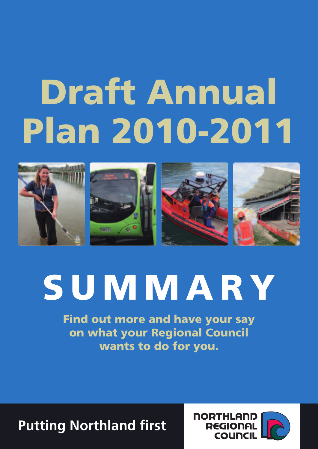# **Draft Annual Plan 2010-2011**



# **S U M M A R Y**

**Find out more and have your say on what your Regional Council wants to do for you.**

## **Putting Northland first**

**NORTHLAND REGIONAL COLIDCII**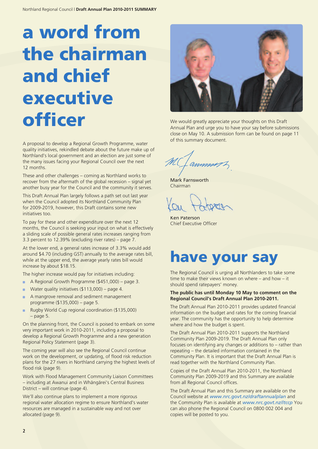## **a word from the chairman and chief executive officer**

A proposal to develop a Regional Growth Programme, water quality initiatives, rekindled debate about the future make up of Northland's local government and an election are just some of the many issues facing your Regional Council over the next 12 months.

These and other challenges – coming as Northland works to recover from the aftermath of the global recession – signal yet another busy year for the Council and the community it serves.

This Draft Annual Plan largely follows a path set out last year when the Council adopted its Northland Community Plan for 2009-2019, however, this Draft contains some new initiatives too.

To pay for these and other expenditure over the next 12 months, the Council is seeking your input on what is effectively a sliding scale of possible general rates increases ranging from 3.3 percent to 12.39% (excluding river rates) – page 7.

At the lower end, a general rates increase of 3.3% would add around \$4.70 (including GST) annually to the average rates bill, while at the upper end, the average yearly rates bill would increase by about \$18.15.

The higher increase would pay for initiatives including:

- $\sim$ A Regional Growth Programme (\$451,000) – page 3.
- Water quality initiatives (\$113,000) page 4. ×
- $\blacksquare$ A mangrove removal and sediment management programme (\$135,000) – page 5.
- Rugby World Cup regional coordination (\$135,000) ٠ – page 5.

On the planning front, the Council is poised to embark on some very important work in 2010-2011, including a proposal to develop a Regional Growth Programme and a new generation Regional Policy Statement (page 3).

The coming year will also see the Regional Council continue work on the development, or updating, of flood risk reduction plans for the 27 rivers in Northland carrying the highest levels of flood risk (page 9).

Work with Flood Management Community Liaison Committees – including at Awanui and in Whängärei's Central Business District – will continue (page 4).

We'll also continue plans to implement a more rigorous regional water allocation regime to ensure Northland's water resources are managed in a sustainable way and not over allocated (page 9).



We would greatly appreciate your thoughts on this Draft Annual Plan and urge you to have your say before submissions close on May 10. A submission form can be found on page 11 of this summary document.

ammunt

Mark Farnsworth Chairman

Ken Paterson Chief Executive Officer

## **have your say**

The Regional Council is urging all Northlanders to take some time to make their views known on where – and how – it should spend ratepayers' money.

#### **The public has until Monday 10 May to comment on the Regional Council's Draft Annual Plan 2010-2011.**

The Draft Annual Plan 2010-2011 provides updated financial information on the budget and rates for the coming financial year. The community has the opportunity to help determine where and how the budget is spent.

The Draft Annual Plan 2010-2011 supports the Northland Community Plan 2009-2019. The Draft Annual Plan only focuses on identifying any changes or additions to – rather than repeating – the detailed information contained in the Community Plan. It is important that the Draft Annual Plan is read together with the Northland Community Plan.

Copies of the Draft Annual Plan 2010-2011, the Northland Community Plan 2009-2019 and this Summary are available from all Regional Council offices.

The Draft Annual Plan and this Summary are available on the Council website at *www.nrc.govt.nz/draftannualplan* and the Community Plan is available at *www.nrc.govt.nz/ltccp* You can also phone the Regional Council on 0800 002 004 and copies will be posted to you.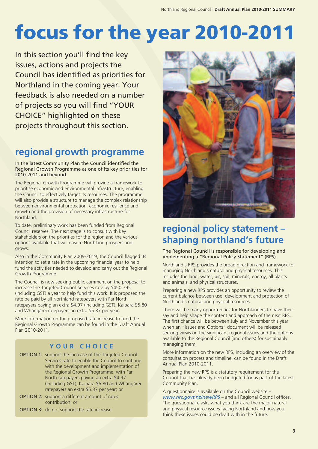## **focus for the year 2010-2011**

In this section you'll find the key issues, actions and projects the Council has identified as priorities for Northland in the coming year. Your feedback is also needed on a number of projects so you will find "YOUR CHOICE" highlighted on these projects throughout this section.

## **regional growth programme**

In the latest Community Plan the Council identified the Regional Growth Programme as one of its key priorities for 2010-2011 and beyond.

The Regional Growth Programme will provide a framework to prioritise economic and environmental infrastructure, enabling the Council to effectively target its resources. The programme will also provide a structure to manage the complex relationship between environmental protection, economic resilience and growth and the provision of necessary infrastructure for Northland.

To date, preliminary work has been funded from Regional Council reserves. The next stage is to consult with key stakeholders on the priorities for the region and the various options available that will ensure Northland prospers and grows.

Also in the Community Plan 2009-2019, the Council flagged its intention to set a rate in the upcoming financial year to help fund the activities needed to develop and carry out the Regional Growth Programme.

The Council is now seeking public comment on the proposal to increase the Targeted Council Services rate by \$450,795 (including GST) a year to help fund this work. It is proposed the rate be paid by all Northland ratepayers with Far North ratepayers paying an extra \$4.97 (including GST), Kaipara \$5.80 and Whängärei ratepayers an extra \$5.37 per year.

More information on the proposed rate increase to fund the Regional Growth Programme can be found in the Draft Annual Plan 2010-2011.

#### **Y O U R C H O I C E**

- **OPTION 1:** support the increase of the Targeted Council Services rate to enable the Council to continue with the development and implementation of the Regional Growth Programme, with Far North ratepayers paying an extra \$4.97 (including GST), Kaipara \$5.80 and Whängärei ratepayers an extra \$5.37 per year; or
- OPTION 2: support a different amount of rates contribution; or
- OPTION 3: do not support the rate increase.



## **regional policy statement – shaping northland's future**

The Regional Council is responsible for developing and implementing a "Regional Policy Statement" (RPS).

Northland's RPS provides the broad direction and framework for managing Northland's natural and physical resources. This includes the land, water, air, soil, minerals, energy, all plants and animals, and physical structures.

Preparing a new RPS provides an opportunity to review the current balance between use, development and protection of Northland's natural and physical resources.

There will be many opportunities for Northlanders to have their say and help shape the content and approach of the next RPS. The first chance will be between July and November this year when an "Issues and Options" document will be released seeking views on the significant regional issues and the options available to the Regional Council (and others) for sustainably managing them.

More information on the new RPS, including an overview of the consultation process and timeline, can be found in the Draft Annual Plan 2010-2011.

Preparing the new RPS is a statutory requirement for the Council that has already been budgeted for as part of the latest Community Plan.

A questionnaire is available on the Council website – *www.nrc.govt.nz/newRPS* – and all Regional Council offices. The questionnaire asks what you think are the major natural and physical resource issues facing Northland and how you think these issues could be dealt with in the future.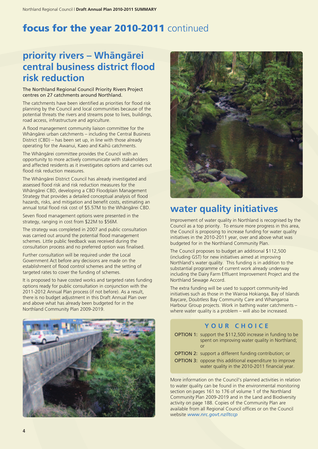## **focus for the year 2010-2011** continued

## **priority rivers – Whängärei central business district flood risk reduction**

The Northland Regional Council Priority Rivers Project centres on 27 catchments around Northland.

The catchments have been identified as priorities for flood risk planning by the Council and local communities because of the potential threats the rivers and streams pose to lives, buildings, road access, infrastructure and agriculture.

A flood management community liaison committee for the Whängärei urban catchments – including the Central Business District (CBD) – has been set up, in line with those already operating for the Awanui, Kaeo and Kaihü catchments.

The Whängärei committee provides the Council with an opportunity to more actively communicate with stakeholders and affected residents as it investigates options and carries out flood risk reduction measures.

The Whängärei District Council has already investigated and assessed flood risk and risk reduction measures for the Whängärei CBD, developing a CBD Floodplain Management Strategy that provides a detailed conceptual analysis of flood hazards, risks, and mitigation and benefit costs, estimating an annual total flood risk cost of \$5.57M to the Whängärei CBD.

Seven flood management options were presented in the strategy, ranging in cost from \$22M to \$56M.

The strategy was completed in 2007 and public consultation was carried out around the potential flood management schemes. Little public feedback was received during the consultation process and no preferred option was finalised.

Further consultation will be required under the Local Government Act before any decisions are made on the establishment of flood control schemes and the setting of targeted rates to cover the funding of schemes.

It is proposed to have costed works and targeted rates funding options ready for public consultation in conjunction with the 2011-2012 Annual Plan process (if not before). As a result, there is no budget adjustment in this Draft Annual Plan over and above what has already been budgeted for in the Northland Community Plan 2009-2019.





## **water quality initiatives**

Improvement of water quality in Northland is recognised by the Council as a top priority. To ensure more progress in this area, the Council is proposing to increase funding for water quality initiatives in the 2010-2011 year, over and above what was budgeted for in the Northland Community Plan.

The Council proposes to budget an additional \$112,500 (including GST) for new initiatives aimed at improving Northland's water quality. This funding is in addition to the substantial programme of current work already underway including the Dairy Farm Effluent Improvement Project and the Northland Sewage Accord.

The extra funding will be used to support community-led initiatives such as those in the Wairoa Hokianga, Bay of Islands Baycare, Doubtless Bay Community Care and Whangaroa Harbour Group projects. Work in bathing water catchments – where water quality is a problem – will also be increased.

#### **Y O U R C H O I C E**

- OPTION 1: support the \$112,500 increase in funding to be spent on improving water quality in Northland; or
- OPTION 2: support a different funding contribution; or OPTION 3: oppose this additional expenditure to improve water quality in the 2010-2011 financial year.

More information on the Council's planned activities in relation to water quality can be found in the environmental monitoring section on pages 161 to 176 of volume 1 of the Northland Community Plan 2009-2019 and in the Land and Biodiversity activity on page 188. Copies of the Community Plan are available from all Regional Council offices or on the Council website *www.nrc.govt.nz/ltccp*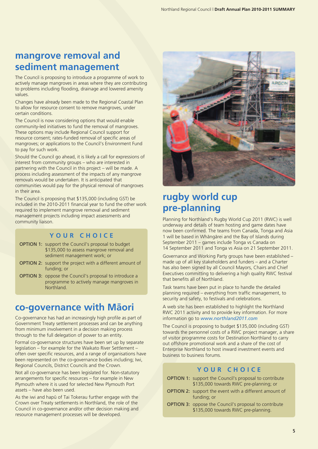## **mangrove removal and sediment management**

The Council is proposing to introduce a programme of work to actively manage mangroves in areas where they are contributing to problems including flooding, drainage and lowered amenity values.

Changes have already been made to the Regional Coastal Plan to allow for resource consent to remove mangroves, under certain conditions.

The Council is now considering options that would enable community-led initiatives to fund the removal of mangroves. These options may include Regional Council support for resource consent; rates-funded removal of specific areas of mangroves; or applications to the Council's Environment Fund to pay for such work.

Should the Council go ahead, it is likely a call for expressions of interest from community groups – who are interested in partnering with the Council in this project – will be made. A process including assessment of the impacts of any mangrove removals would be undertaken. It is anticipated that communities would pay for the physical removal of mangroves in their area.

The Council is proposing that \$135,000 (including GST) be included in the 2010-2011 financial year to fund the other work required to implement mangrove removal and sediment management projects including impact assessments and community liaison.

#### **Y O U R C H O I C E**

- OPTION 1: support the Council's proposal to budget \$135,000 to assess mangrove removal and sediment management work; or
- OPTION 2: support the project with a different amount of funding; or
- OPTION 3: oppose the Council's proposal to introduce a programme to actively manage mangroves in Northland.

### **co-governance with Mäori**

Co-governance has had an increasingly high profile as part of Government Treaty settlement processes and can be anything from minimum involvement in a decision making process through to the full delegation of power to an entity.

Formal co-governance structures have been set up by separate legislation – for example for the Waikato River Settlement – often over specific resources, and a range of organisations have been represented on the co-governance bodies including; Iwi, Regional Councils, District Councils and the Crown.

Not all co-governance has been legislated for. Non-statutory arrangements for specific resources – for example in New Plymouth where it is used for selected New Plymouth Port assets – have also been used.

As the iwi and hapü of Tai Tokerau further engage with the Crown over Treaty settlements in Northland, the role of the Council in co-governance and/or other decision making and resource management processes will be developed.



## **rugby world cup pre-planning**

Planning for Northland's Rugby World Cup 2011 (RWC) is well underway and details of team hosting and game dates have now been confirmed. The teams from Canada, Tonga and Asia 1 will be based in Whängärei and the Bay of Islands during September 2011 – games include Tonga vs Canada on 14 September 2011 and Tonga vs Asia on 21 September 2011.

Governance and Working Party groups have been established – made up of all key stakeholders and funders – and a Charter has also been signed by all Council Mayors, Chairs and Chief Executives committing to delivering a high quality RWC festival that benefits all of Northland.

Task teams have been put in place to handle the detailed planning required – everything from traffic management, to security and safety, to festivals and celebrations.

A web site has been established to highlight the Northland RWC 2011 activity and to provide key information. For more information go to *www.northland2011.com*

The Council is proposing to budget \$135,000 (including GST) towards the personnel costs of a RWC project manager, a share of visitor programme costs for Destination Northland to carry out offshore promotional work and a share of the cost of Enterprise Northland to host inward investment events and business to business forums.

#### **Y O U R C H O I C E**

- OPTION 1: support the Council's proposal to contribute \$135,000 towards RWC pre-planning; or
- OPTION 2: support the event with a different amount of funding; or
- OPTION 3: oppose the Council's proposal to contribute \$135,000 towards RWC pre-planning.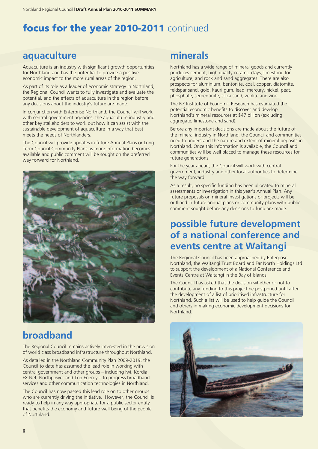## **focus for the year 2010-2011** continued

### **aquaculture**

Aquaculture is an industry with significant growth opportunities for Northland and has the potential to provide a positive economic impact to the more rural areas of the region.

As part of its role as a leader of economic strategy in Northland, the Regional Council wants to fully investigate and evaluate the potential, and the effects of aquaculture in the region before any decisions about the industry's future are made.

In conjunction with Enterprise Northland, the Council will work with central government agencies, the aquaculture industry and other key stakeholders to work out how it can assist with the sustainable development of aquaculture in a way that best meets the needs of Northlanders.

The Council will provide updates in future Annual Plans or Long Term Council Community Plans as more information becomes available and public comment will be sought on the preferred way forward for Northland.



## **broadband**

The Regional Council remains actively interested in the provision of world class broadband infrastructure throughout Northland.

As detailed in the Northland Community Plan 2009-2019, the Council to date has assumed the lead role in working with central government and other groups – including Iwi, Kordia, FX Net, Northpower and Top Energy – to progress broadband services and other communication technologies in Northland.

The Council has now passed this lead role on to other groups who are currently driving the initiative. However, the Council is ready to help in any way appropriate for a public sector entity that benefits the economy and future well being of the people of Northland.

## **minerals**

Northland has a wide range of mineral goods and currently produces cement, high quality ceramic clays, limestone for agriculture, and rock and sand aggregates. There are also prospects for aluminium, bentonite, coal, copper, diatomite, feldspar sand, gold, kauri gum, lead, mercury, nickel, peat, phosphate, serpentinite, silica sand, zeolite and zinc.

The NZ Institute of Economic Research has estimated the potential economic benefits to discover and develop Northland's mineral resources at \$47 billion (excluding aggregate, limestone and sand).

Before any important decisions are made about the future of the mineral industry in Northland, the Council and communities need to understand the nature and extent of mineral deposits in Northland. Once this information is available, the Council and communities will be well placed to manage these resources for future generations.

For the year ahead, the Council will work with central government, industry and other local authorities to determine the way forward.

As a result, no specific funding has been allocated to mineral assessments or investigation in this year's Annual Plan. Any future proposals on mineral investigations or projects will be outlined in future annual plans or community plans with public comment sought before any decisions to fund are made.

## **possible future development of a national conference and events centre at Waitangi**

The Regional Council has been approached by Enterprise Northland, the Waitangi Trust Board and Far North Holdings Ltd to support the development of a National Conference and Events Centre at Waitangi in the Bay of Islands.

The Council has asked that the decision whether or not to contribute any funding to this project be postponed until after the development of a list of prioritised infrastructure for Northland. Such a list will be used to help guide the Council and others in making economic development decisions for Northland.

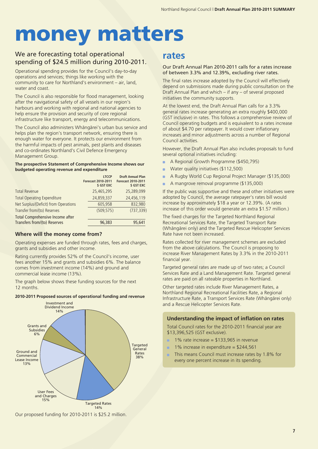## **money matters**

#### We are forecasting total operational spending of \$24.5 million during 2010-2011.

Operational spending provides for the Council's day-to-day operations and services; things like working with the community to care for Northland's environment – air, land, water and coast.

The Council is also responsible for flood management, looking after the navigational safety of all vessels in our region's harbours and working with regional and national agencies to help ensure the provision and security of core regional infrastructure like transport, energy and telecommunications.

The Council also administers Whängärei's urban bus service and helps plan the region's transport network, ensuring there is enough water for everyone. It protects our environment from the harmful impacts of pest animals, pest plants and diseases and co-ordinates Northland's Civil Defence Emergency Management Group.

#### **The prospective Statement of Comprehensive Income shows our budgeted operating revenue and expenditure**

|                                       | <b>LTCCP</b><br><b>Forecast 2010-2011</b><br>\$ GST EXC | <b>Draft Annual Plan</b><br><b>Forecast 2010-2011</b><br>\$ GST EXC |  |
|---------------------------------------|---------------------------------------------------------|---------------------------------------------------------------------|--|
| <b>Total Revenue</b>                  | 25,465,295                                              | 25,289,099                                                          |  |
| <b>Total Operating Expenditure</b>    | 24,859,337                                              | 24,456,119                                                          |  |
| Net Surplus/(Deficit) from Operations | 605,958                                                 | 832,980                                                             |  |
| Transfer from/(to) Reserves           | (509.575)                                               | (737, 339)                                                          |  |
| Total Comprehensive Income after      |                                                         |                                                                     |  |
| Transfers from/(to) Reserves          | 96,383                                                  | 95,641                                                              |  |

#### **Where will the money come from?**

Operating expenses are funded through rates, fees and charges, grants and subsidies and other income.

Rating currently provides 52% of the Council's income, user fees another 15% and grants and subsidies 6%. The balance comes from investment income (14%) and ground and commercial lease income (13%).

The graph below shows these funding sources for the next 12 months.

#### **2010-2011 Proposed sources of operational funding and revenue**



Our proposed funding for 2010-2011 is \$25.2 million.

#### **rates**

#### Our Draft Annual Plan 2010-2011 calls for a rates increase of between 3.3% and 12.39%, excluding river rates.

The final rates increase adopted by the Council will effectively depend on submissions made during public consultation on the Draft Annual Plan and which – if any – of several proposed initiatives the community supports.

At the lowest end, the Draft Annual Plan calls for a 3.3% general rates increase generating an extra roughly \$400,000 (GST inclusive) in rates. This follows a comprehensive review of Council operating budgets and is equivalent to a rates increase of about \$4.70 per ratepayer. It would cover inflationary increases and minor adjustments across a number of Regional Council activities.

However, the Draft Annual Plan also includes proposals to fund several optional initiatives including:

- A Regional Growth Programme (\$450,795) É
- Water quality initiatives (\$112,500) É
- A Rugby World Cup Regional Project Manager (\$135,000)
- A mangrove removal programme (\$135,000) r.

If the public was supportive and these and other initiatives were adopted by Council, the average ratepayer's rates bill would increase by approximately \$18 a year or 12.39%. (A rates increase of this order would generate an extra \$1.57 million.)

The fixed charges for the Targeted Northland Regional Recreational Services Rate, the Targeted Transport Rate (Whängärei only) and the Targeted Rescue Helicopter Services Rate have not been increased.

Rates collected for river management schemes are excluded from the above calculations. The Council is proposing to increase River Management Rates by 3.3% in the 2010-2011 financial year.

Targeted general rates are made up of two rates; a Council Services Rate and a Land Management Rate. Targeted general rates are paid on all rateable properties in Northland.

Other targeted rates include River Management Rates, a Northland Regional Recreational Facilities Rate, a Regional Infrastructure Rate, a Transport Services Rate (Whängärei only) and a Rescue Helicopter Services Rate.

#### **Understanding the impact of inflation on rates**

Total Council rates for the 2010-2011 financial year are \$13,396,525 (GST exclusive).

- ÷ 1% rate increase = \$133,965 in revenue
- 1% increase in expenditure = \$244,561
- This means Council must increase rates by 1.8% for every one percent increase in its spending.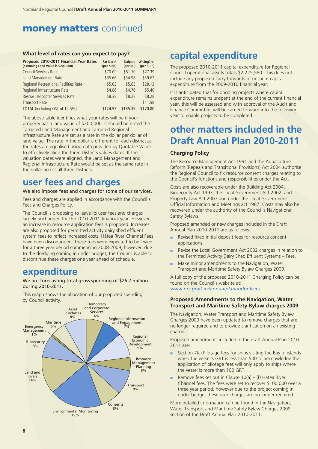### **money matters** continued

#### **What level of rates can you expect to pay?**

| Proposed 2010-2011 Financial Year Rates<br>(assuming Land Value is \$200,000) | <b>Far North</b><br>(per SUIP) | Kaipara<br>(per RU) | Whāngārei<br>(per SUIP) |
|-------------------------------------------------------------------------------|--------------------------------|---------------------|-------------------------|
| <b>Council Services Rate</b>                                                  | \$70.09                        | \$81.70             | \$77.39                 |
| Land Management Rate                                                          | \$35.66                        | \$34.98             | \$39.62                 |
| Regional Recreational Facilities Rate                                         | \$5.63                         | \$5.63              | \$28.13                 |
| Regional Infrastructure Rate                                                  | \$4.86                         | \$4.76              | \$5.40                  |
| Rescue Helicopter Services Rate                                               | \$8.28                         | \$8.28              | \$8.28                  |
| <b>Transport Rate</b>                                                         |                                |                     | \$11.98                 |
| TOTAL (including GST of 12.5%)                                                | \$124.52                       | \$135.35            | \$170.80                |

The above table identifies what your rates will be if your property has a land value of \$200,000. It should be noted the Targeted Land Management and Targeted Regional Infrastructure Rate are set as a rate in the dollar per dollar of land value. The rate in the dollar is different for each district as the rates are equalised using data provided by Quotable Value to effectively align the three Districts values dates. If the valuation dates were aligned, the Land Management and Regional Infrastructure Rate would be set as the same rate in the dollar across all three Districts.

### **user fees and charges**

We also impose fees and charges for some of our services.

Fees and charges are applied in accordance with the Council's Fees and Charges Policy.

The Council is proposing to leave its user fees and charges largely unchanged for the 2010-2011 financial year. However, an increase in resource application fees is proposed. Increases are also proposed for permitted activity dairy shed effluent system fees to reflect increased costs. Hätea River Channel Fees have been discontinued. These fees were expected to be levied for a three year period commencing 2008-2009, however, due to the dredging coming in under budget, the Council is able to discontinue these charges one year ahead of schedule.

### **expenditure**

We are forecasting total gross spending of \$26.7 million during 2010-2011.

This graph shows the allocation of our proposed spending by Council activity.



## **capital expenditure**

The proposed 2010-2011 capital expenditure for Regional Council operational assets totals \$2,225,580. This does not include any proposed carry forwards of unspent capital expenditure from the 2009-2010 financial year.

It is anticipated that for ongoing projects where capital expenditure remains unspent at the end of the current financial year, this will be assessed and with approval of the Audit and Finance Committee, will be carried forward into the following year to enable projects to be completed.

## **other matters included in the Draft Annual Plan 2010-2011**

#### **Charging Policy**

The Resource Management Act 1991 and the Aquaculture Reform (Repeals and Transitional Provisions) Act 2004 authorise the Regional Council to fix resource consent charges relating to the Council's functions and responsibilities under the Act.

Costs are also recoverable under the Building Act 2004, Biosecurity Act 1993, the Local Government Act 2002, and Property Law Act 2007 and under the Local Government Official Information and Meetings act 1987. Costs may also be recovered under the authority of the Council's Navigational Safety Bylaws.

Proposed amended or new charges included in the Draft Annual Plan 2010-2011 are as follows:

- Revised fixed initial deposit fees for resource consent applications;
- Revise the Local Government Act 2002 charges in relation to  $\blacksquare$ the Permitted Activity Dairy Shed Effluent Systems – Fees.
- Make minor amendments to the Navigation, Water  $\blacksquare$ Transport and Maritime Safety Bylaw Charges 2009.

A full copy of the proposed 2010-2011 Charging Policy can be found on the Council's website at: *www.nrc.govt.nz/annualplanandpolicies* 

#### **Proposed Amendments to the Navigation, Water Transport and Maritime Safety Bylaw charges 2009**

The Navigation, Water Transport and Maritime Safety Bylaw Charges 2009 have been updated to remove charges that are no longer required and to provide clarification on an existing charge.

Proposed amendments included in the draft Annual Plan 2010- 2011 are:

- Section 7(c) Pilotage fees for ships visiting the Bay of islands when the vessel's GRT is less than 500 to acknowledge the application of pilotage fees will only apply to ships where the vessel is more than 100 GRT.
- Remove fees set out in Clause 10(a) (f) Hätea River m. Channel fees. The fees were set to recover \$100,000 over a three year period, however due to the project coming in under budget these user charges are no longer required.

More detailed information can be found in the Navigation, Water Transport and Maritime Safety Bylaw Charges 2009 section of the Draft Annual Plan 2010-2011.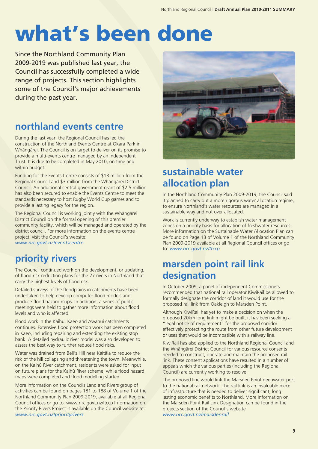## **what's been done**

Since the Northland Community Plan 2009-2019 was published last year, the Council has successfully completed a wide range of projects. This section highlights some of the Council's major achievements during the past year.

## **northland events centre**

During the last year, the Regional Council has led the construction of the Northland Events Centre at Okara Park in Whängärei. The Council is on target to deliver on its promise to provide a multi-events centre managed by an independent Trust. It is due to be completed in May 2010, on time and within budget.

Funding for the Events Centre consists of \$13 million from the Regional Council and \$3 million from the Whängärei District Council. An additional central government grant of \$2.5 million has also been secured to enable the Events Centre to meet the standards necessary to host Rugby World Cup games and to provide a lasting legacy for the region.

The Regional Council is working jointly with the Whängärei District Council on the formal opening of this premier community facility, which will be managed and operated by the district council. For more information on the events centre project, visit the Council's website: *www.nrc.govt.nz/eventscentre*

## **priority rivers**

The Council continued work on the development, or updating, of flood risk reduction plans for the 27 rivers in Northland that carry the highest levels of flood risk.

Detailed surveys of the floodplains in catchments have been undertaken to help develop computer flood models and produce flood hazard maps. In addition, a series of public meetings were held to gather more information about flood levels and who is affected.

Flood work in the Kaihü, Kaeo and Awanui catchments continues. Extensive flood protection work has been completed in Kaeo, including repairing and extending the existing stop bank. A detailed hydraulic river model was also developed to assess the best way to further reduce flood risks.

Water was drained from Bell's Hill near Kaitäia to reduce the risk of the hill collapsing and threatening the town. Meanwhile, on the Kaihü River catchment, residents were asked for input on future plans for the Kaihü River scheme, while flood hazard maps were completed and flood modelling started.

More information on the Councils Land and Rivers group of activities can be found on pages 181 to 188 of Volume 1 of the Northland Community Plan 2009-2019, available at all Regional Council offices or go to: www.nrc.govt.nz/ltccp Information on the Priority Rivers Project is available on the Council website at: *www.nrc.govt.nz/priorityrivers* 



## **sustainable water allocation plan**

In the Northland Community Plan 2009-2019, the Council said it planned to carry out a more rigorous water allocation regime, to ensure Northland's water resources are managed in a sustainable way and not over allocated.

Work is currently underway to establish water management zones on a priority basis for allocation of freshwater resources. More information on the Sustainable Water Allocation Plan can be found on Page 13 of Volume 1 of the Northland Community Plan 2009-2019 available at all Regional Council offices or go to: *www.nrc.govt.nz/ltccp*

## **marsden point rail link designation**

In October 2009, a panel of independent Commissioners recommended that national rail operator KiwiRail be allowed to formally designate the corridor of land it would use for the proposed rail link from Oakleigh to Marsden Point.

Although KiwiRail has yet to make a decision on when the proposed 20km long link might be built, it has been seeking a "legal notice of requirement" for the proposed corridor effectively protecting the route from other future development or uses that would be incompatible with a railway line.

KiwiRail has also applied to the Northland Regional Council and the Whängärei District Council for various resource consents needed to construct, operate and maintain the proposed rail link. These consent applications have resulted in a number of appeals which the various parties (including the Regional Council) are currently working to resolve.

The proposed line would link the Marsden Point deepwater port to the national rail network. The rail link is an invaluable piece of infrastructure that is needed to deliver significant, long lasting economic benefits to Northland. More information on the Marsden Point Rail Link Designation can be found in the projects section of the Council's website *www.nrc.govt.nz/marsdenrail*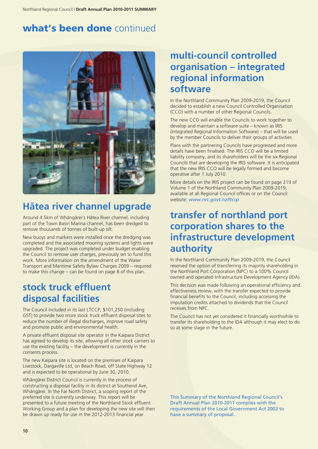## **what's been done** continued



## **Hätea river channel upgrade**

Around 4.5km of Whängärei's Hätea River channel, including part of the Town Basin Marina channel, has been dredged to remove thousands of tonnes of built-up silt.

New buoys and markers were installed once the dredging was completed and the associated mooring systems and lights were upgraded. The project was completed under budget enabling the Council to remove user charges, previously set to fund this work. More information on the amendment of the Water Transport and Maritime Safety Bylaw Charges 2009 – required to make this change – can be found on page 8 of this plan.

## **stock truck effluent disposal facilities**

The Council included in its last LTCCP, \$101,250 (including GST) to provide two more stock truck effluent disposal sites to reduce the number of illegal discharges, improve road safety and promote public and environmental health.

A private effluent disposal site operator in the Kaipara District has agreed to develop its site, allowing all other stock carriers to use the existing facility – the development is currently in the consents process.

The new Kaipara site is located on the premises of Kaipara Livestock, Dargaville Ltd, on Beach Road, off State Highway 12 and is expected to be operational by June 30, 2010.

Whängärei District Council is currently in the process of constructing a disposal facility in its district at Southend Ave, Whängärei. In the Far North District, a scoping report of the preferred site is currently underway. This report will be presented to a future meeting of the Northland Stock effluent Working Group and a plan for developing the new site will then be drawn up ready for use in the 2012-2013 financial year.

## **multi-council controlled organisation – integrated regional information software**

In the Northland Community Plan 2009-2019, the Council decided to establish a new Council Controlled Organisation (CCO) with a number of other Regional Councils.

The new CCO will enable the Councils to work together to develop and maintain a software suite – known as IRIS (Integrated Regional Information Software) – that will be used by the member Councils to deliver their groups of activities.

Plans with the partnering Councils have progressed and more details have been finalised. The IRIS CCO will be a limited liability company, and its shareholders will be the six Regional Councils that are developing the IRIS software. It is anticipated that the new IRIS CCO will be legally formed and become operative after 1 July 2010.

More details on the IRIS project can be found on page 219 of Volume 1 of the Northland Community Plan 2009-2019, available at all Regional Council offices or on the Council website: *www.nrc.govt.nz/ltccp* 

## **transfer of northland port corporation shares to the infrastructure development authority**

In the Northland Community Plan 2009-2019, the Council reserved the option of transferring its majority shareholding in the Northland Port Corporation (NPC) to a 100% Council owned and operated Infrastructure Development Agency (IDA).

This decision was made following an operational efficiency and effectiveness review, with the transfer expected to provide financial benefits to the Council, including accessing the imputation credits attached to dividends that the Council receives from NPC.

The Council has not yet considered it financially worthwhile to transfer its shareholding to the IDA although it may elect to do so at some stage in the future.

This Summary of the Northland Regional Council's Draft Annual Plan 2010-2011 complies with the requirements of the Local Government Act 2002 to have a summary of proposal.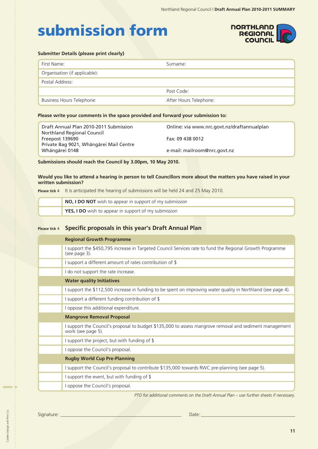## **submission form**



#### **Submitter Details (please print clearly)**

| Surname:                      |  |  |
|-------------------------------|--|--|
| Organisation (if applicable): |  |  |
| Postal Address:               |  |  |
| Post Code:                    |  |  |
| After Hours Telephone:        |  |  |
|                               |  |  |

#### **Please write your comments in the space provided and forward your submission to:**

| Draft Annual Plan 2010-2011 Submission<br>Northland Regional Council | Online: via www.nrc.govt.nz/draftannualplan |
|----------------------------------------------------------------------|---------------------------------------------|
| Freepost 139690                                                      | Fax: 09 438 0012                            |
| Private Bag 9021, Whāngārei Mail Centre<br>Whāngārei 0148            | e-mail: mailroom@nrc.govt.nz                |

**Submissions should reach the Council by 3.00pm, 10 May 2010.**

#### **Would you like to attend a hearing in person to tell Councillors more about the matters you have raised in your written submission?**

**Please tick** It is anticipated the hearing of submissions will be held 24 and 25 May 2010.

| NO, I DO NOT wish to appear in support of my submission     |
|-------------------------------------------------------------|
| <b>YES, I DO</b> wish to appear in support of my submission |

#### **Please tick Specific proposals in this year's Draft Annual Plan**

| <b>Regional Growth Programme</b>                                                                                              |
|-------------------------------------------------------------------------------------------------------------------------------|
| I support the \$450,795 increase in Targeted Council Services rate to fund the Regional Growth Programme<br>(see page 3).     |
| I support a different amount of rates contribution of \$                                                                      |
| I do not support the rate increase.                                                                                           |
| <b>Water quality Initiatives</b>                                                                                              |
| I support the \$112,500 increase in funding to be spent on improving water quality in Northland (see page 4).                 |
| I support a different funding contribution of \$                                                                              |
| I oppose this additional expenditure.                                                                                         |
| <b>Mangrove Removal Proposal</b>                                                                                              |
|                                                                                                                               |
| I support the Council's proposal to budget \$135,000 to assess mangrove removal and sediment management<br>work (see page 5). |
| I support the project, but with funding of \$                                                                                 |
| I oppose the Council's proposal.                                                                                              |
| <b>Rugby World Cup Pre-Planning</b>                                                                                           |
| I support the Council's proposal to contribute \$135,000 towards RWC pre-planning (see page 5).                               |
| I support the event, but with funding of \$                                                                                   |

*PTO for additional comments on the Draft Annual Plan – use further sheets if necessary.*